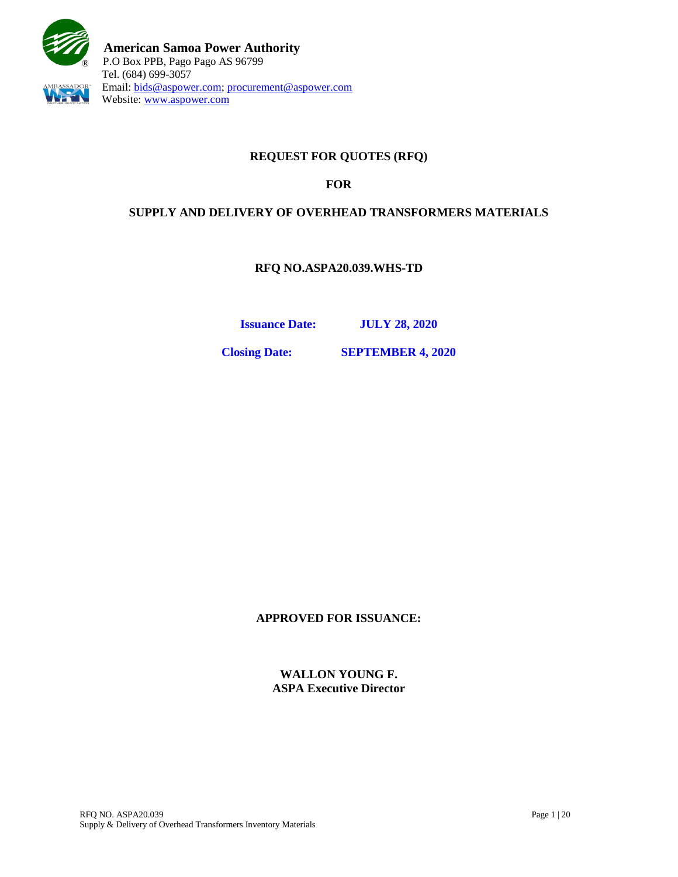

# **REQUEST FOR QUOTES (RFQ)**

### **FOR**

### **SUPPLY AND DELIVERY OF OVERHEAD TRANSFORMERS MATERIALS**

**RFQ NO.ASPA20.039.WHS-TD**

**Issuance Date: JULY 28, 2020**

**Closing Date: SEPTEMBER 4, 2020**

**APPROVED FOR ISSUANCE:**

**WALLON YOUNG F. ASPA Executive Director**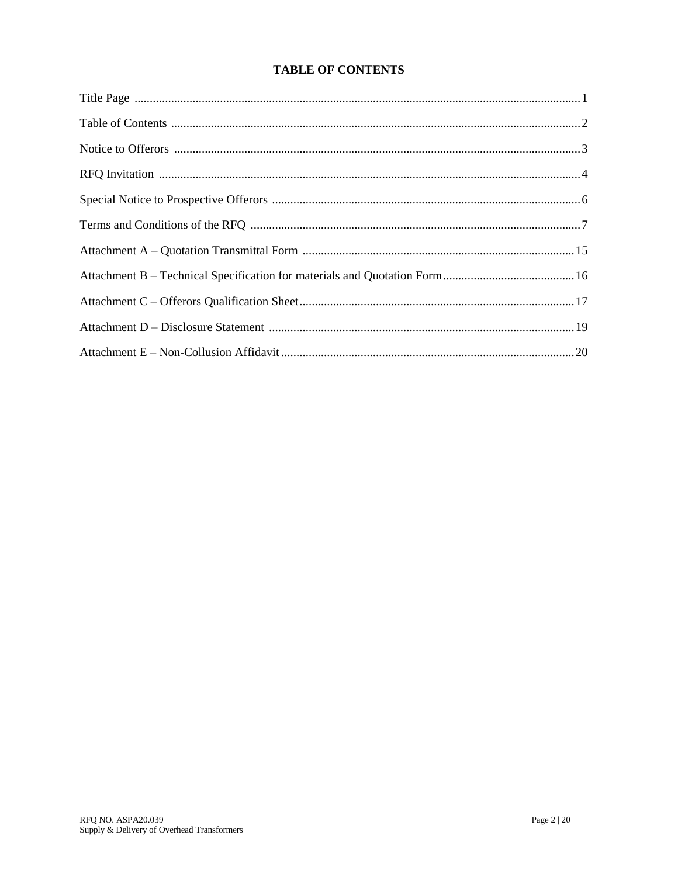# **TABLE OF CONTENTS**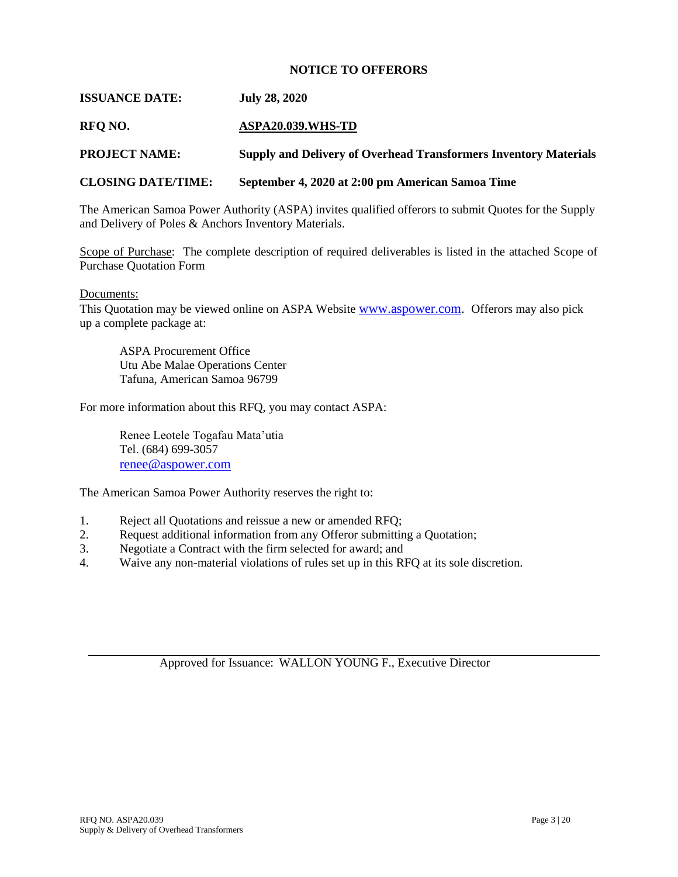#### **NOTICE TO OFFERORS**

#### **ISSUANCE DATE: July 28, 2020**

#### **RFQ NO. ASPA20.039.WHS-TD**

**PROJECT NAME: Supply and Delivery of Overhead Transformers Inventory Materials**

#### **CLOSING DATE/TIME: September 4, 2020 at 2:00 pm American Samoa Time**

The American Samoa Power Authority (ASPA) invites qualified offerors to submit Quotes for the Supply and Delivery of Poles & Anchors Inventory Materials.

Scope of Purchase: The complete description of required deliverables is listed in the attached Scope of Purchase Quotation Form

#### Documents:

This Quotation may be viewed online on ASPA Website [www.aspower.com.](http://www.aspower.com/) Offerors may also pick up a complete package at:

ASPA Procurement Office Utu Abe Malae Operations Center Tafuna, American Samoa 96799

For more information about this RFQ, you may contact ASPA:

Renee Leotele Togafau Mata'utia Tel. (684) 699-3057 [renee@aspower.com](mailto:renee@aspower.com)

The American Samoa Power Authority reserves the right to:

- 1. Reject all Quotations and reissue a new or amended RFQ;
- 2. Request additional information from any Offeror submitting a Quotation;
- 3. Negotiate a Contract with the firm selected for award; and
- 4. Waive any non-material violations of rules set up in this RFQ at its sole discretion.

Approved for Issuance: WALLON YOUNG F., Executive Director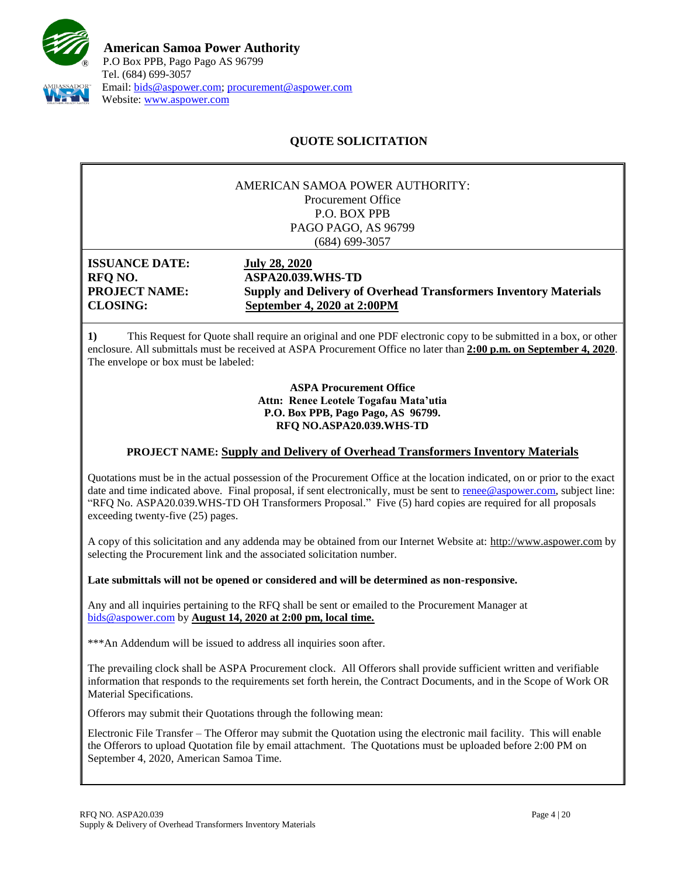

# **QUOTE SOLICITATION**

#### AMERICAN SAMOA POWER AUTHORITY: Procurement Office P.O. BOX PPB PAGO PAGO, AS 96799 (684) 699-3057

**ISSUANCE DATE: July 28, 2020**

**RFQ NO. ASPA20.039.WHS-TD PROJECT NAME: Supply and Delivery of Overhead Transformers Inventory Materials CLOSING: September 4, 2020 at 2:00PM**

**1)** This Request for Quote shall require an original and one PDF electronic copy to be submitted in a box, or other enclosure. All submittals must be received at ASPA Procurement Office no later than **2:00 p.m. on September 4, 2020**. The envelope or box must be labeled:

> **ASPA Procurement Office Attn: Renee Leotele Togafau Mata'utia P.O. Box PPB, Pago Pago, AS 96799. RFQ NO.ASPA20.039.WHS-TD**

#### **PROJECT NAME: Supply and Delivery of Overhead Transformers Inventory Materials**

Quotations must be in the actual possession of the Procurement Office at the location indicated, on or prior to the exact date and time indicated above. Final proposal, if sent electronically, must be sent to [renee@aspower.com,](mailto:renee@aspower.com) subject line: "RFQ No. ASPA20.039.WHS-TD OH Transformers Proposal." Five (5) hard copies are required for all proposals exceeding twenty-five (25) pages.

A copy of this solicitation and any addenda may be obtained from our Internet Website at: [http://www.aspower.com](http://www.aspower.com/) by selecting the Procurement link and the associated solicitation number.

**Late submittals will not be opened or considered and will be determined as non-responsive.**

Any and all inquiries pertaining to the RFQ shall be sent or emailed to the Procurement Manager at [bids@aspower.com](mailto:bids@aspower.com) by **August 14, 2020 at 2:00 pm, local time.**

\*\*\*An Addendum will be issued to address all inquiries soon after.

The prevailing clock shall be ASPA Procurement clock. All Offerors shall provide sufficient written and verifiable information that responds to the requirements set forth herein, the Contract Documents, and in the Scope of Work OR Material Specifications.

**2)** Offerors may submit their Quotations through the following mean:

Electronic File Transfer – The Offeror may submit the Quotation using the electronic mail facility. This will enable the Offerors to upload Quotation file by email attachment. The Quotations must be uploaded before 2:00 PM on September 4, 2020, American Samoa Time.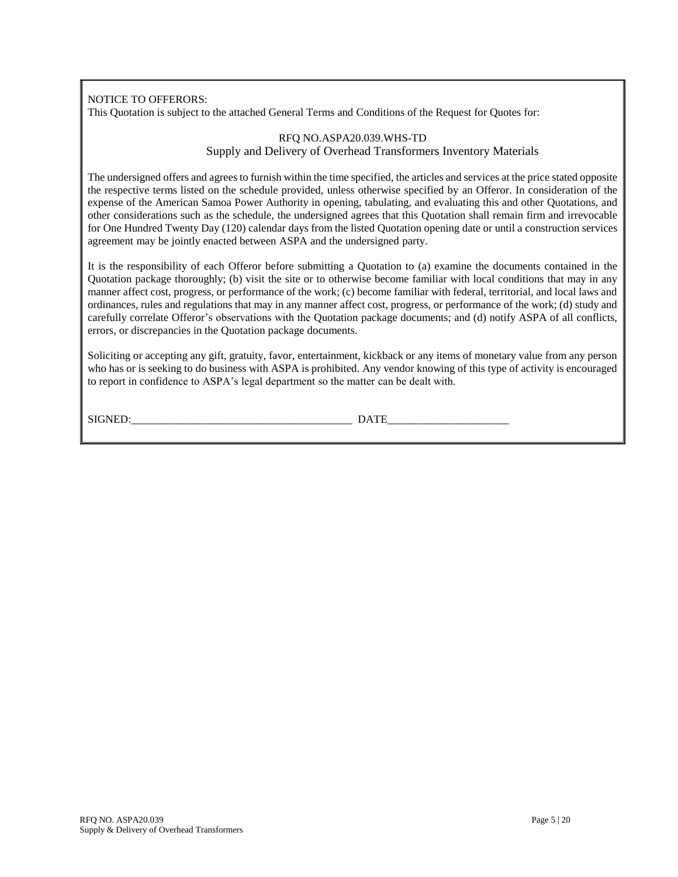NOTICE TO OFFERORS:

This Quotation is subject to the attached General Terms and Conditions of the Request for Quotes for:

#### RFQ NO.ASPA20.039.WHS-TD Supply and Delivery of Overhead Transformers Inventory Materials

The undersigned offers and agrees to furnish within the time specified, the articles and services at the price stated opposite the respective terms listed on the schedule provided, unless otherwise specified by an Offeror. In consideration of the expense of the American Samoa Power Authority in opening, tabulating, and evaluating this and other Quotations, and other considerations such as the schedule, the undersigned agrees that this Quotation shall remain firm and irrevocable for One Hundred Twenty Day (120) calendar days from the listed Quotation opening date or until a construction services agreement may be jointly enacted between ASPA and the undersigned party.

It is the responsibility of each Offeror before submitting a Quotation to (a) examine the documents contained in the Quotation package thoroughly; (b) visit the site or to otherwise become familiar with local conditions that may in any manner affect cost, progress, or performance of the work; (c) become familiar with federal, territorial, and local laws and ordinances, rules and regulations that may in any manner affect cost, progress, or performance of the work; (d) study and carefully correlate Offeror's observations with the Quotation package documents; and (d) notify ASPA of all conflicts, errors, or discrepancies in the Quotation package documents.

Soliciting or accepting any gift, gratuity, favor, entertainment, kickback or any items of monetary value from any person who has or is seeking to do business with ASPA is prohibited. Any vendor knowing of this type of activity is encouraged to report in confidence to ASPA's legal department so the matter can be dealt with.

SIGNED:\_\_\_\_\_\_\_\_\_\_\_\_\_\_\_\_\_\_\_\_\_\_\_\_\_\_\_\_\_\_\_\_\_\_\_\_\_\_\_\_ DATE\_\_\_\_\_\_\_\_\_\_\_\_\_\_\_\_\_\_\_\_\_\_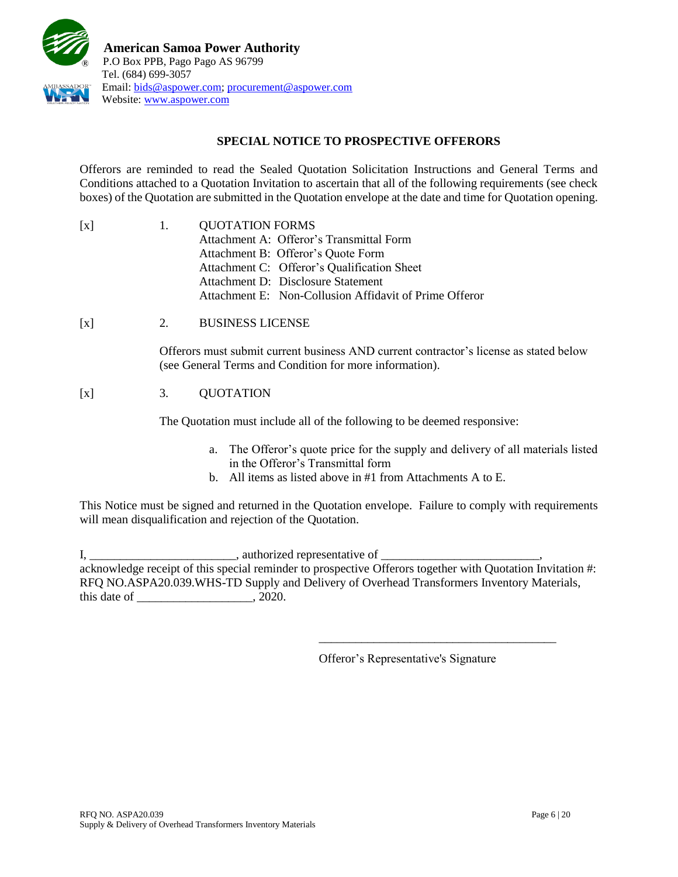

## **SPECIAL NOTICE TO PROSPECTIVE OFFERORS**

Offerors are reminded to read the Sealed Quotation Solicitation Instructions and General Terms and Conditions attached to a Quotation Invitation to ascertain that all of the following requirements (see check boxes) of the Quotation are submitted in the Quotation envelope at the date and time for Quotation opening.

| $\lceil x \rceil$ | $\mathbf{L}$ | <b>QUOTATION FORMS</b>                                 |  |  |
|-------------------|--------------|--------------------------------------------------------|--|--|
|                   |              | Attachment A: Offeror's Transmittal Form               |  |  |
|                   |              | Attachment B: Offeror's Quote Form                     |  |  |
|                   |              | Attachment C: Offeror's Qualification Sheet            |  |  |
|                   |              | Attachment D: Disclosure Statement                     |  |  |
|                   |              | Attachment E: Non-Collusion Affidavit of Prime Offeror |  |  |

[x] 2. BUSINESS LICENSE

Offerors must submit current business AND current contractor's license as stated below (see General Terms and Condition for more information).

## [x] 3. QUOTATION

The Quotation must include all of the following to be deemed responsive:

- a. The Offeror's quote price for the supply and delivery of all materials listed in the Offeror's Transmittal form
- b. All items as listed above in #1 from Attachments A to E.

This Notice must be signed and returned in the Quotation envelope. Failure to comply with requirements will mean disqualification and rejection of the Quotation.

I, \_\_\_\_\_\_\_\_\_\_\_\_\_\_\_\_\_\_\_\_\_\_\_\_\_\_\_\_\_\_\_\_, authorized representative of \_\_\_\_\_\_\_\_\_\_\_\_\_\_ acknowledge receipt of this special reminder to prospective Offerors together with Quotation Invitation #: RFQ NO.ASPA20.039.WHS-TD Supply and Delivery of Overhead Transformers Inventory Materials, this date of \_\_\_\_\_\_\_\_\_\_\_\_\_\_\_\_\_\_\_, 2020.

Offeror's Representative's Signature

\_\_\_\_\_\_\_\_\_\_\_\_\_\_\_\_\_\_\_\_\_\_\_\_\_\_\_\_\_\_\_\_\_\_\_\_\_\_\_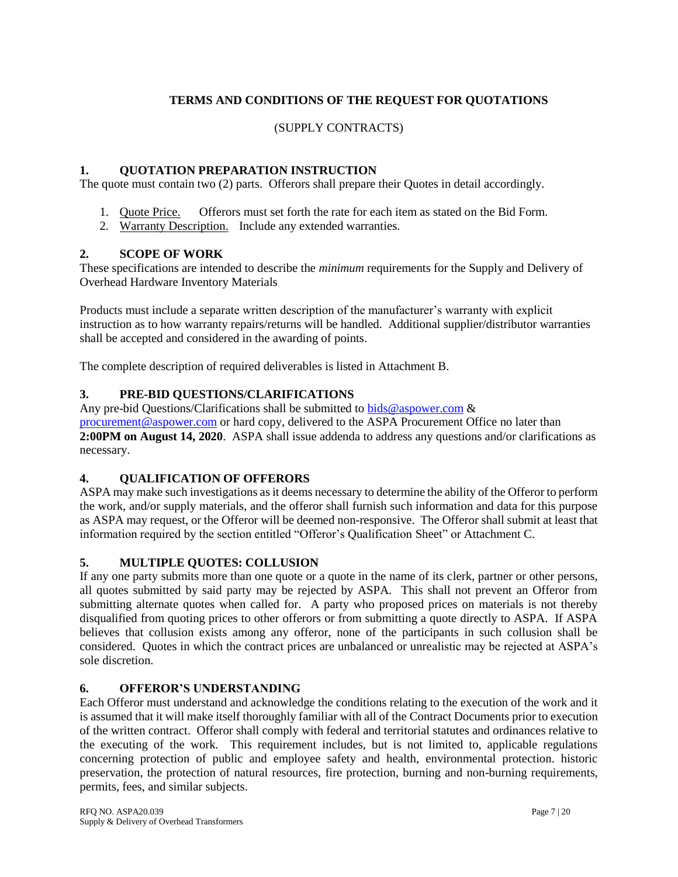# **TERMS AND CONDITIONS OF THE REQUEST FOR QUOTATIONS**

### (SUPPLY CONTRACTS)

### **1. QUOTATION PREPARATION INSTRUCTION**

The quote must contain two (2) parts. Offerors shall prepare their Quotes in detail accordingly.

- 1. Quote Price. Offerors must set forth the rate for each item as stated on the Bid Form.
- 2. Warranty Description. Include any extended warranties.

### **2. SCOPE OF WORK**

These specifications are intended to describe the *minimum* requirements for the Supply and Delivery of Overhead Hardware Inventory Materials

Products must include a separate written description of the manufacturer's warranty with explicit instruction as to how warranty repairs/returns will be handled. Additional supplier/distributor warranties shall be accepted and considered in the awarding of points.

The complete description of required deliverables is listed in Attachment B.

### **3. PRE-BID QUESTIONS/CLARIFICATIONS**

Any pre-bid Questions/Clarifications shall be submitted to [bids@aspower.com](mailto:bids@aspower.com)  $\&$ [procurement@aspower.com](mailto:procurement@aspower.com) or hard copy, delivered to the ASPA Procurement Office no later than **2:00PM on August 14, 2020**. ASPA shall issue addenda to address any questions and/or clarifications as necessary.

#### **4. QUALIFICATION OF OFFERORS**

ASPA may make such investigations as it deems necessary to determine the ability of the Offeror to perform the work, and/or supply materials, and the offeror shall furnish such information and data for this purpose as ASPA may request, or the Offeror will be deemed non-responsive. The Offeror shall submit at least that information required by the section entitled "Offeror's Qualification Sheet" or Attachment C.

#### **5. MULTIPLE QUOTES: COLLUSION**

If any one party submits more than one quote or a quote in the name of its clerk, partner or other persons, all quotes submitted by said party may be rejected by ASPA. This shall not prevent an Offeror from submitting alternate quotes when called for. A party who proposed prices on materials is not thereby disqualified from quoting prices to other offerors or from submitting a quote directly to ASPA. If ASPA believes that collusion exists among any offeror, none of the participants in such collusion shall be considered. Quotes in which the contract prices are unbalanced or unrealistic may be rejected at ASPA's sole discretion.

## **6. OFFEROR'S UNDERSTANDING**

Each Offeror must understand and acknowledge the conditions relating to the execution of the work and it is assumed that it will make itself thoroughly familiar with all of the Contract Documents prior to execution of the written contract. Offeror shall comply with federal and territorial statutes and ordinances relative to the executing of the work. This requirement includes, but is not limited to, applicable regulations concerning protection of public and employee safety and health, environmental protection. historic preservation, the protection of natural resources, fire protection, burning and non-burning requirements, permits, fees, and similar subjects.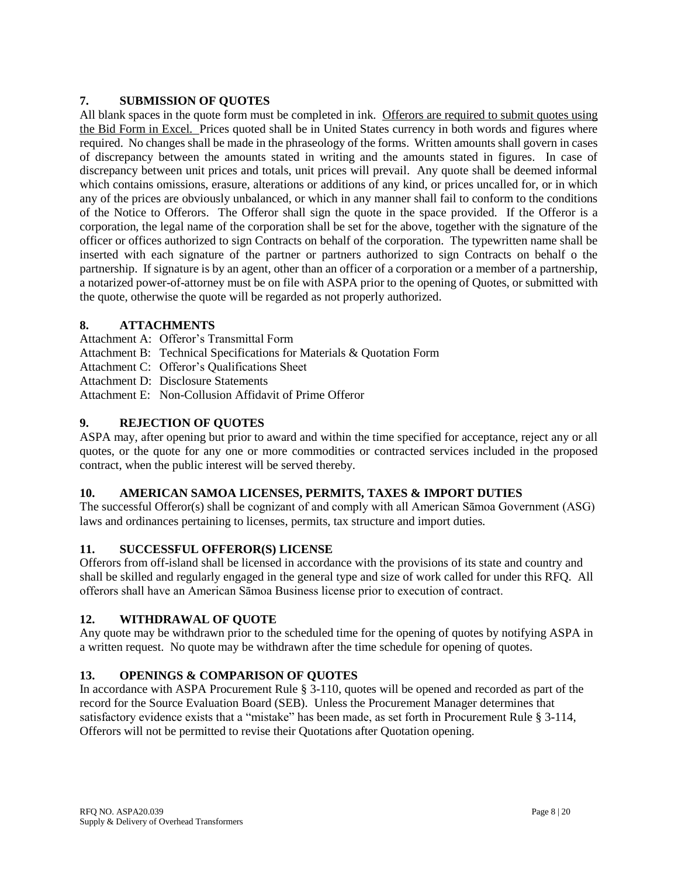## **7. SUBMISSION OF QUOTES**

All blank spaces in the quote form must be completed in ink. Offerors are required to submit quotes using the Bid Form in Excel. Prices quoted shall be in United States currency in both words and figures where required. No changes shall be made in the phraseology of the forms. Written amounts shall govern in cases of discrepancy between the amounts stated in writing and the amounts stated in figures. In case of discrepancy between unit prices and totals, unit prices will prevail. Any quote shall be deemed informal which contains omissions, erasure, alterations or additions of any kind, or prices uncalled for, or in which any of the prices are obviously unbalanced, or which in any manner shall fail to conform to the conditions of the Notice to Offerors. The Offeror shall sign the quote in the space provided. If the Offeror is a corporation, the legal name of the corporation shall be set for the above, together with the signature of the officer or offices authorized to sign Contracts on behalf of the corporation. The typewritten name shall be inserted with each signature of the partner or partners authorized to sign Contracts on behalf o the partnership. If signature is by an agent, other than an officer of a corporation or a member of a partnership, a notarized power-of-attorney must be on file with ASPA prior to the opening of Quotes, or submitted with the quote, otherwise the quote will be regarded as not properly authorized.

### **8. ATTACHMENTS**

- Attachment A: Offeror's Transmittal Form
- Attachment B: Technical Specifications for Materials & Quotation Form
- Attachment C: Offeror's Qualifications Sheet
- Attachment D: Disclosure Statements
- Attachment E: Non-Collusion Affidavit of Prime Offeror

## **9. REJECTION OF QUOTES**

ASPA may, after opening but prior to award and within the time specified for acceptance, reject any or all quotes, or the quote for any one or more commodities or contracted services included in the proposed contract, when the public interest will be served thereby.

## **10. AMERICAN SAMOA LICENSES, PERMITS, TAXES & IMPORT DUTIES**

The successful Offeror(s) shall be cognizant of and comply with all American Sāmoa Government (ASG) laws and ordinances pertaining to licenses, permits, tax structure and import duties.

## **11. SUCCESSFUL OFFEROR(S) LICENSE**

Offerors from off-island shall be licensed in accordance with the provisions of its state and country and shall be skilled and regularly engaged in the general type and size of work called for under this RFQ. All offerors shall have an American Sāmoa Business license prior to execution of contract.

## **12. WITHDRAWAL OF QUOTE**

Any quote may be withdrawn prior to the scheduled time for the opening of quotes by notifying ASPA in a written request. No quote may be withdrawn after the time schedule for opening of quotes.

## **13. OPENINGS & COMPARISON OF QUOTES**

In accordance with ASPA Procurement Rule § 3-110, quotes will be opened and recorded as part of the record for the Source Evaluation Board (SEB). Unless the Procurement Manager determines that satisfactory evidence exists that a "mistake" has been made, as set forth in Procurement Rule § 3-114, Offerors will not be permitted to revise their Quotations after Quotation opening.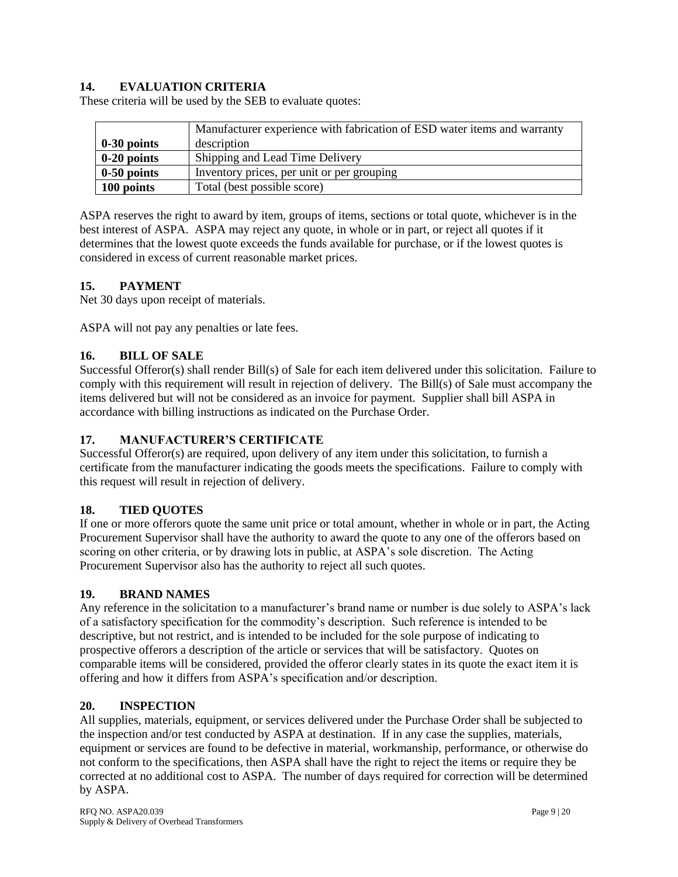## **14. EVALUATION CRITERIA**

These criteria will be used by the SEB to evaluate quotes:

|               | Manufacturer experience with fabrication of ESD water items and warranty |
|---------------|--------------------------------------------------------------------------|
| $0-30$ points | description                                                              |
| $0-20$ points | Shipping and Lead Time Delivery                                          |
| $0-50$ points | Inventory prices, per unit or per grouping                               |
| 100 points    | Total (best possible score)                                              |

ASPA reserves the right to award by item, groups of items, sections or total quote, whichever is in the best interest of ASPA. ASPA may reject any quote, in whole or in part, or reject all quotes if it determines that the lowest quote exceeds the funds available for purchase, or if the lowest quotes is considered in excess of current reasonable market prices.

### **15. PAYMENT**

Net 30 days upon receipt of materials.

ASPA will not pay any penalties or late fees.

### **16. BILL OF SALE**

Successful Offeror(s) shall render Bill(s) of Sale for each item delivered under this solicitation. Failure to comply with this requirement will result in rejection of delivery. The Bill(s) of Sale must accompany the items delivered but will not be considered as an invoice for payment. Supplier shall bill ASPA in accordance with billing instructions as indicated on the Purchase Order.

#### **17. MANUFACTURER'S CERTIFICATE**

Successful Offeror(s) are required, upon delivery of any item under this solicitation, to furnish a certificate from the manufacturer indicating the goods meets the specifications. Failure to comply with this request will result in rejection of delivery.

#### **18. TIED QUOTES**

If one or more offerors quote the same unit price or total amount, whether in whole or in part, the Acting Procurement Supervisor shall have the authority to award the quote to any one of the offerors based on scoring on other criteria, or by drawing lots in public, at ASPA's sole discretion. The Acting Procurement Supervisor also has the authority to reject all such quotes.

#### **19. BRAND NAMES**

Any reference in the solicitation to a manufacturer's brand name or number is due solely to ASPA's lack of a satisfactory specification for the commodity's description. Such reference is intended to be descriptive, but not restrict, and is intended to be included for the sole purpose of indicating to prospective offerors a description of the article or services that will be satisfactory. Quotes on comparable items will be considered, provided the offeror clearly states in its quote the exact item it is offering and how it differs from ASPA's specification and/or description.

#### **20. INSPECTION**

All supplies, materials, equipment, or services delivered under the Purchase Order shall be subjected to the inspection and/or test conducted by ASPA at destination. If in any case the supplies, materials, equipment or services are found to be defective in material, workmanship, performance, or otherwise do not conform to the specifications, then ASPA shall have the right to reject the items or require they be corrected at no additional cost to ASPA. The number of days required for correction will be determined by ASPA.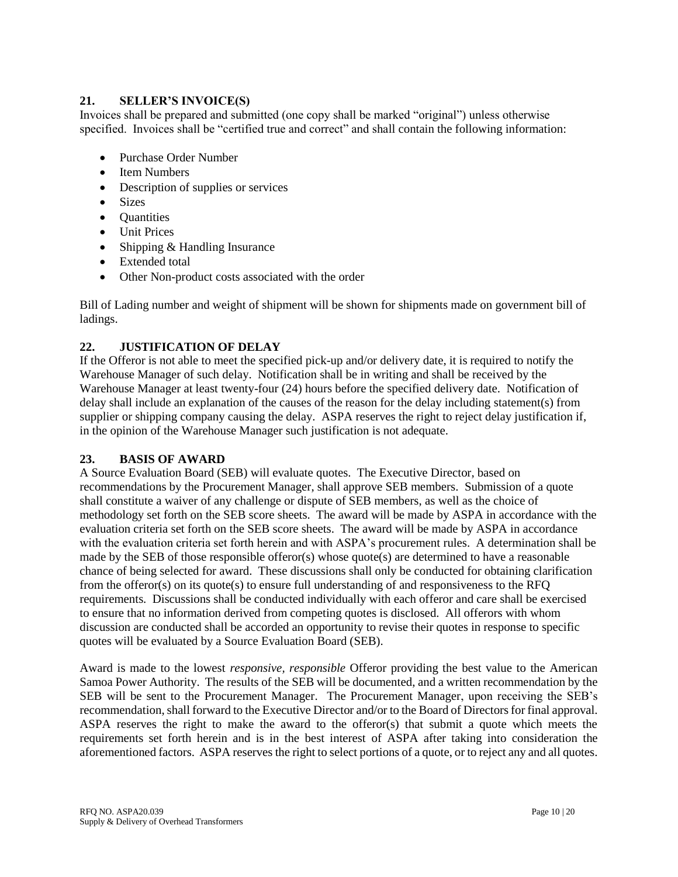### **21. SELLER'S INVOICE(S)**

Invoices shall be prepared and submitted (one copy shall be marked "original") unless otherwise specified. Invoices shall be "certified true and correct" and shall contain the following information:

- Purchase Order Number
- Item Numbers
- Description of supplies or services
- Sizes
- **Quantities**
- Unit Prices
- Shipping & Handling Insurance
- Extended total
- Other Non-product costs associated with the order

Bill of Lading number and weight of shipment will be shown for shipments made on government bill of ladings.

## **22. JUSTIFICATION OF DELAY**

If the Offeror is not able to meet the specified pick-up and/or delivery date, it is required to notify the Warehouse Manager of such delay. Notification shall be in writing and shall be received by the Warehouse Manager at least twenty-four (24) hours before the specified delivery date. Notification of delay shall include an explanation of the causes of the reason for the delay including statement(s) from supplier or shipping company causing the delay. ASPA reserves the right to reject delay justification if, in the opinion of the Warehouse Manager such justification is not adequate.

## **23. BASIS OF AWARD**

A Source Evaluation Board (SEB) will evaluate quotes. The Executive Director, based on recommendations by the Procurement Manager, shall approve SEB members. Submission of a quote shall constitute a waiver of any challenge or dispute of SEB members, as well as the choice of methodology set forth on the SEB score sheets. The award will be made by ASPA in accordance with the evaluation criteria set forth on the SEB score sheets. The award will be made by ASPA in accordance with the evaluation criteria set forth herein and with ASPA's procurement rules. A determination shall be made by the SEB of those responsible offeror(s) whose quote(s) are determined to have a reasonable chance of being selected for award. These discussions shall only be conducted for obtaining clarification from the offeror(s) on its quote(s) to ensure full understanding of and responsiveness to the RFQ requirements. Discussions shall be conducted individually with each offeror and care shall be exercised to ensure that no information derived from competing quotes is disclosed. All offerors with whom discussion are conducted shall be accorded an opportunity to revise their quotes in response to specific quotes will be evaluated by a Source Evaluation Board (SEB).

Award is made to the lowest *responsive, responsible* Offeror providing the best value to the American Samoa Power Authority. The results of the SEB will be documented, and a written recommendation by the SEB will be sent to the Procurement Manager. The Procurement Manager, upon receiving the SEB's recommendation, shall forward to the Executive Director and/or to the Board of Directors for final approval. ASPA reserves the right to make the award to the offeror(s) that submit a quote which meets the requirements set forth herein and is in the best interest of ASPA after taking into consideration the aforementioned factors. ASPA reserves the right to select portions of a quote, or to reject any and all quotes.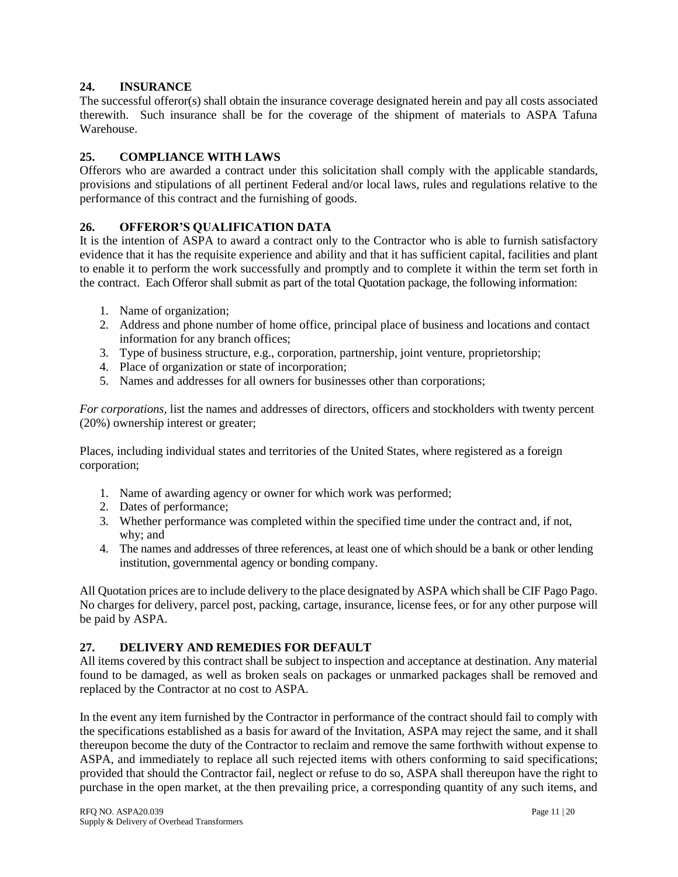### **24. INSURANCE**

The successful offeror(s) shall obtain the insurance coverage designated herein and pay all costs associated therewith. Such insurance shall be for the coverage of the shipment of materials to ASPA Tafuna Warehouse.

### **25. COMPLIANCE WITH LAWS**

Offerors who are awarded a contract under this solicitation shall comply with the applicable standards, provisions and stipulations of all pertinent Federal and/or local laws, rules and regulations relative to the performance of this contract and the furnishing of goods.

### **26. OFFEROR'S QUALIFICATION DATA**

It is the intention of ASPA to award a contract only to the Contractor who is able to furnish satisfactory evidence that it has the requisite experience and ability and that it has sufficient capital, facilities and plant to enable it to perform the work successfully and promptly and to complete it within the term set forth in the contract. Each Offeror shall submit as part of the total Quotation package, the following information:

- 1. Name of organization;
- 2. Address and phone number of home office, principal place of business and locations and contact information for any branch offices;
- 3. Type of business structure, e.g., corporation, partnership, joint venture, proprietorship;
- 4. Place of organization or state of incorporation;
- 5. Names and addresses for all owners for businesses other than corporations;

*For corporations,* list the names and addresses of directors, officers and stockholders with twenty percent (20%) ownership interest or greater;

Places, including individual states and territories of the United States, where registered as a foreign corporation;

- 1. Name of awarding agency or owner for which work was performed;
- 2. Dates of performance;
- 3. Whether performance was completed within the specified time under the contract and, if not, why; and
- 4. The names and addresses of three references, at least one of which should be a bank or other lending institution, governmental agency or bonding company.

All Quotation prices are to include delivery to the place designated by ASPA which shall be CIF Pago Pago. No charges for delivery, parcel post, packing, cartage, insurance, license fees, or for any other purpose will be paid by ASPA.

#### **27. DELIVERY AND REMEDIES FOR DEFAULT**

All items covered by this contract shall be subject to inspection and acceptance at destination. Any material found to be damaged, as well as broken seals on packages or unmarked packages shall be removed and replaced by the Contractor at no cost to ASPA.

In the event any item furnished by the Contractor in performance of the contract should fail to comply with the specifications established as a basis for award of the Invitation, ASPA may reject the same, and it shall thereupon become the duty of the Contractor to reclaim and remove the same forthwith without expense to ASPA, and immediately to replace all such rejected items with others conforming to said specifications; provided that should the Contractor fail, neglect or refuse to do so, ASPA shall thereupon have the right to purchase in the open market, at the then prevailing price, a corresponding quantity of any such items, and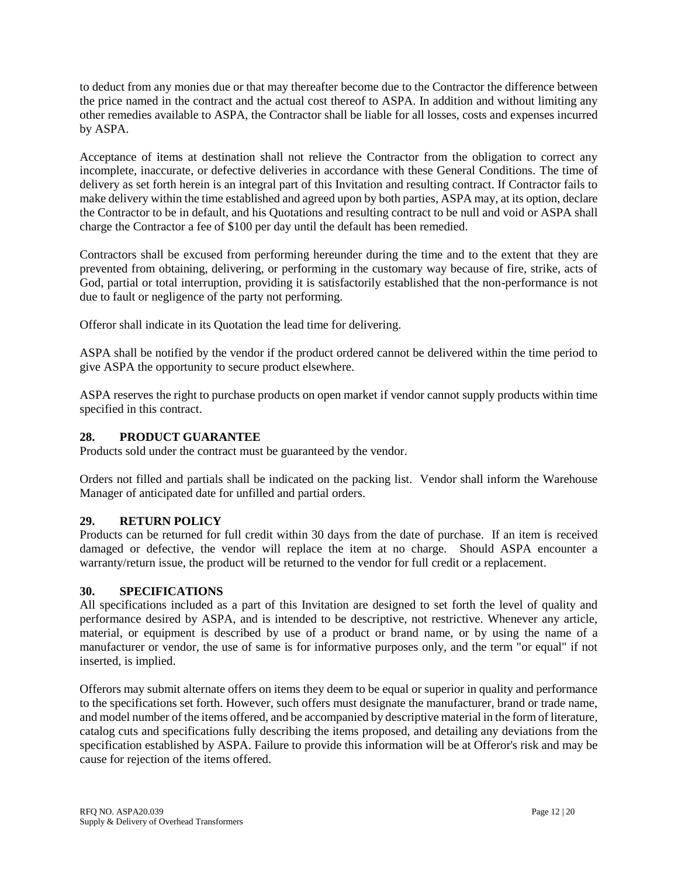to deduct from any monies due or that may thereafter become due to the Contractor the difference between the price named in the contract and the actual cost thereof to ASPA. In addition and without limiting any other remedies available to ASPA, the Contractor shall be liable for all losses, costs and expenses incurred by ASPA.

Acceptance of items at destination shall not relieve the Contractor from the obligation to correct any incomplete, inaccurate, or defective deliveries in accordance with these General Conditions. The time of delivery as set forth herein is an integral part of this Invitation and resulting contract. If Contractor fails to make delivery within the time established and agreed upon by both parties, ASPA may, at its option, declare the Contractor to be in default, and his Quotations and resulting contract to be null and void or ASPA shall charge the Contractor a fee of \$100 per day until the default has been remedied.

Contractors shall be excused from performing hereunder during the time and to the extent that they are prevented from obtaining, delivering, or performing in the customary way because of fire, strike, acts of God, partial or total interruption, providing it is satisfactorily established that the non-performance is not due to fault or negligence of the party not performing.

Offeror shall indicate in its Quotation the lead time for delivering.

ASPA shall be notified by the vendor if the product ordered cannot be delivered within the time period to give ASPA the opportunity to secure product elsewhere.

ASPA reserves the right to purchase products on open market if vendor cannot supply products within time specified in this contract.

### **28. PRODUCT GUARANTEE**

Products sold under the contract must be guaranteed by the vendor.

Orders not filled and partials shall be indicated on the packing list. Vendor shall inform the Warehouse Manager of anticipated date for unfilled and partial orders.

## **29. RETURN POLICY**

Products can be returned for full credit within 30 days from the date of purchase. If an item is received damaged or defective, the vendor will replace the item at no charge. Should ASPA encounter a warranty/return issue, the product will be returned to the vendor for full credit or a replacement.

#### **30. SPECIFICATIONS**

All specifications included as a part of this Invitation are designed to set forth the level of quality and performance desired by ASPA, and is intended to be descriptive, not restrictive. Whenever any article, material, or equipment is described by use of a product or brand name, or by using the name of a manufacturer or vendor, the use of same is for informative purposes only, and the term "or equal" if not inserted, is implied.

Offerors may submit alternate offers on items they deem to be equal or superior in quality and performance to the specifications set forth. However, such offers must designate the manufacturer, brand or trade name, and model number of the items offered, and be accompanied by descriptive material in the form of literature, catalog cuts and specifications fully describing the items proposed, and detailing any deviations from the specification established by ASPA. Failure to provide this information will be at Offeror's risk and may be cause for rejection of the items offered.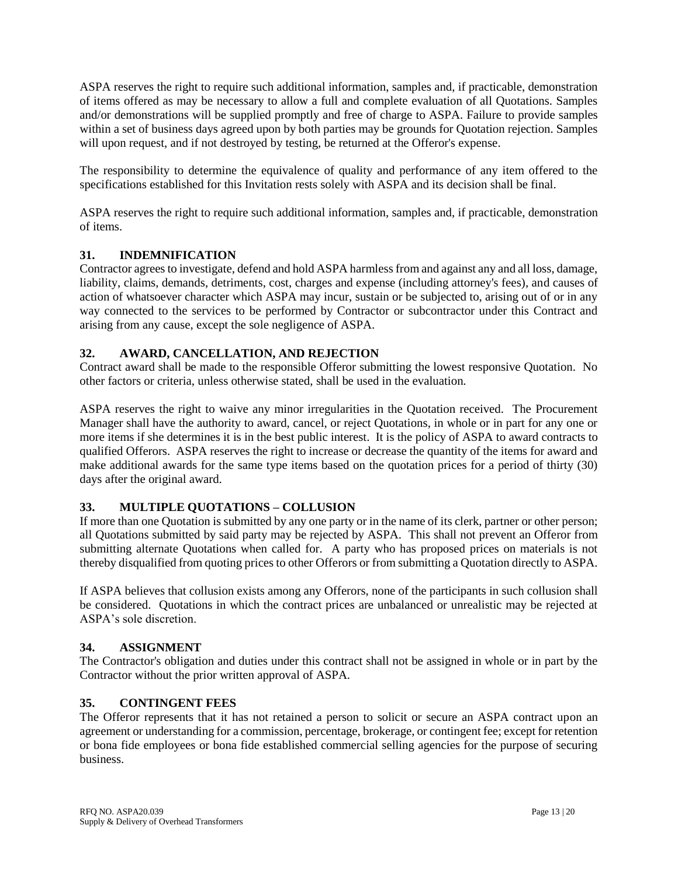ASPA reserves the right to require such additional information, samples and, if practicable, demonstration of items offered as may be necessary to allow a full and complete evaluation of all Quotations. Samples and/or demonstrations will be supplied promptly and free of charge to ASPA. Failure to provide samples within a set of business days agreed upon by both parties may be grounds for Quotation rejection. Samples will upon request, and if not destroyed by testing, be returned at the Offeror's expense.

The responsibility to determine the equivalence of quality and performance of any item offered to the specifications established for this Invitation rests solely with ASPA and its decision shall be final.

ASPA reserves the right to require such additional information, samples and, if practicable, demonstration of items.

# **31. INDEMNIFICATION**

Contractor agrees to investigate, defend and hold ASPA harmless from and against any and all loss, damage, liability, claims, demands, detriments, cost, charges and expense (including attorney's fees), and causes of action of whatsoever character which ASPA may incur, sustain or be subjected to, arising out of or in any way connected to the services to be performed by Contractor or subcontractor under this Contract and arising from any cause, except the sole negligence of ASPA.

## **32. AWARD, CANCELLATION, AND REJECTION**

Contract award shall be made to the responsible Offeror submitting the lowest responsive Quotation. No other factors or criteria, unless otherwise stated, shall be used in the evaluation.

ASPA reserves the right to waive any minor irregularities in the Quotation received. The Procurement Manager shall have the authority to award, cancel, or reject Quotations, in whole or in part for any one or more items if she determines it is in the best public interest. It is the policy of ASPA to award contracts to qualified Offerors. ASPA reserves the right to increase or decrease the quantity of the items for award and make additional awards for the same type items based on the quotation prices for a period of thirty (30) days after the original award.

## **33. MULTIPLE QUOTATIONS – COLLUSION**

If more than one Quotation is submitted by any one party or in the name of its clerk, partner or other person; all Quotations submitted by said party may be rejected by ASPA. This shall not prevent an Offeror from submitting alternate Quotations when called for. A party who has proposed prices on materials is not thereby disqualified from quoting prices to other Offerors or from submitting a Quotation directly to ASPA.

If ASPA believes that collusion exists among any Offerors, none of the participants in such collusion shall be considered. Quotations in which the contract prices are unbalanced or unrealistic may be rejected at ASPA's sole discretion.

## **34. ASSIGNMENT**

The Contractor's obligation and duties under this contract shall not be assigned in whole or in part by the Contractor without the prior written approval of ASPA.

## **35. CONTINGENT FEES**

The Offeror represents that it has not retained a person to solicit or secure an ASPA contract upon an agreement or understanding for a commission, percentage, brokerage, or contingent fee; except for retention or bona fide employees or bona fide established commercial selling agencies for the purpose of securing business.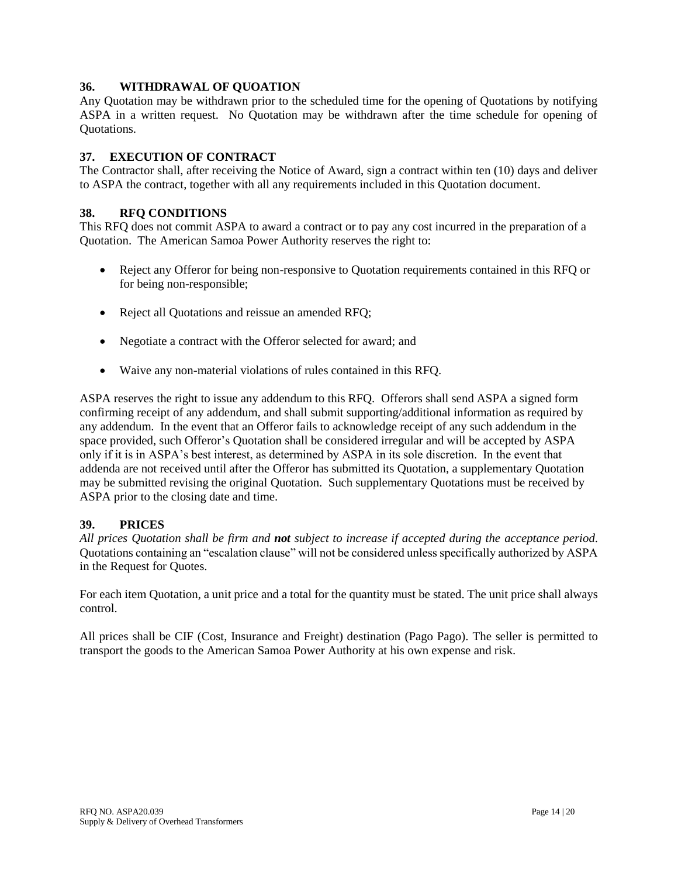### **36. WITHDRAWAL OF QUOATION**

Any Quotation may be withdrawn prior to the scheduled time for the opening of Quotations by notifying ASPA in a written request. No Quotation may be withdrawn after the time schedule for opening of Quotations.

### **37. EXECUTION OF CONTRACT**

The Contractor shall, after receiving the Notice of Award, sign a contract within ten (10) days and deliver to ASPA the contract, together with all any requirements included in this Quotation document.

### **38. RFQ CONDITIONS**

This RFQ does not commit ASPA to award a contract or to pay any cost incurred in the preparation of a Quotation. The American Samoa Power Authority reserves the right to:

- Reject any Offeror for being non-responsive to Quotation requirements contained in this RFQ or for being non-responsible;
- Reject all Quotations and reissue an amended RFQ;
- Negotiate a contract with the Offeror selected for award; and
- Waive any non-material violations of rules contained in this RFQ.

ASPA reserves the right to issue any addendum to this RFQ. Offerors shall send ASPA a signed form confirming receipt of any addendum, and shall submit supporting/additional information as required by any addendum. In the event that an Offeror fails to acknowledge receipt of any such addendum in the space provided, such Offeror's Quotation shall be considered irregular and will be accepted by ASPA only if it is in ASPA's best interest, as determined by ASPA in its sole discretion. In the event that addenda are not received until after the Offeror has submitted its Quotation, a supplementary Quotation may be submitted revising the original Quotation. Such supplementary Quotations must be received by ASPA prior to the closing date and time.

#### **39. PRICES**

*All prices Quotation shall be firm and not subject to increase if accepted during the acceptance period*. Quotations containing an "escalation clause" will not be considered unless specifically authorized by ASPA in the Request for Quotes.

For each item Quotation, a unit price and a total for the quantity must be stated. The unit price shall always control.

All prices shall be CIF (Cost, Insurance and Freight) destination (Pago Pago). The seller is permitted to transport the goods to the American Samoa Power Authority at his own expense and risk.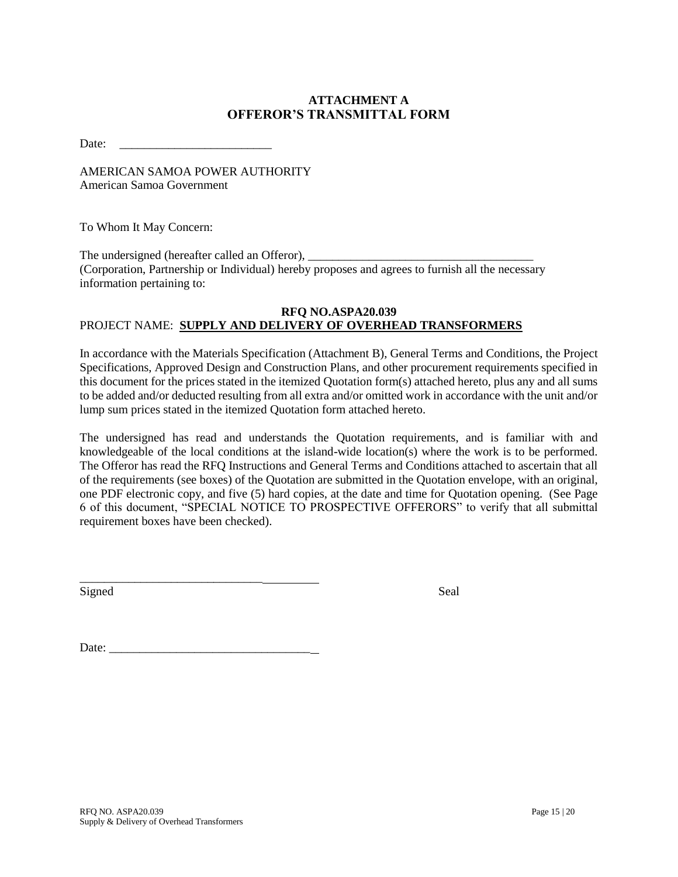# **ATTACHMENT A OFFEROR'S TRANSMITTAL FORM**

Date: \_\_\_\_\_\_\_\_\_\_\_\_\_\_\_\_\_\_\_\_\_\_\_\_\_

AMERICAN SAMOA POWER AUTHORITY American Samoa Government

To Whom It May Concern:

The undersigned (hereafter called an Offeror), \_\_\_\_\_\_\_\_\_\_\_\_\_\_\_\_\_\_\_\_\_\_\_\_\_\_\_\_\_\_\_\_\_\_ (Corporation, Partnership or Individual) hereby proposes and agrees to furnish all the necessary information pertaining to:

#### **RFQ NO.ASPA20.039** PROJECT NAME: **SUPPLY AND DELIVERY OF OVERHEAD TRANSFORMERS**

In accordance with the Materials Specification (Attachment B), General Terms and Conditions, the Project Specifications, Approved Design and Construction Plans, and other procurement requirements specified in this document for the prices stated in the itemized Quotation form(s) attached hereto, plus any and all sums to be added and/or deducted resulting from all extra and/or omitted work in accordance with the unit and/or lump sum prices stated in the itemized Quotation form attached hereto.

The undersigned has read and understands the Quotation requirements, and is familiar with and knowledgeable of the local conditions at the island-wide location(s) where the work is to be performed. The Offeror has read the RFQ Instructions and General Terms and Conditions attached to ascertain that all of the requirements (see boxes) of the Quotation are submitted in the Quotation envelope, with an original, one PDF electronic copy, and five (5) hard copies, at the date and time for Quotation opening. (See Page 6 of this document, "SPECIAL NOTICE TO PROSPECTIVE OFFERORS" to verify that all submittal requirement boxes have been checked).

Signed Seal

Date: \_\_\_\_\_\_\_\_\_\_\_\_\_\_\_\_\_\_\_\_\_\_\_\_\_\_\_\_\_\_\_\_\_

\_\_\_\_\_\_\_\_\_\_\_\_\_\_\_\_\_\_\_\_\_\_\_\_\_\_\_\_\_\_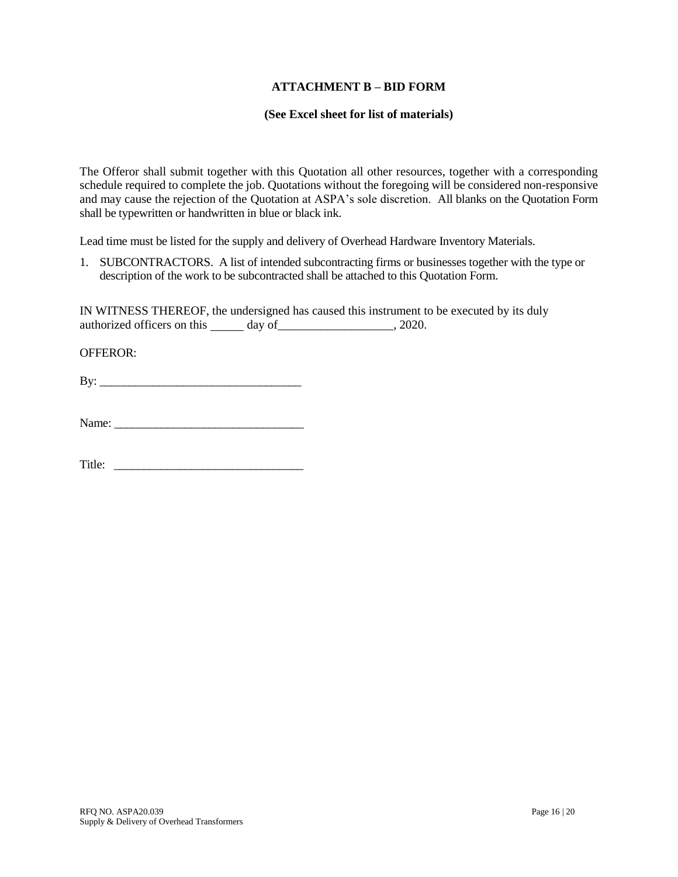#### **ATTACHMENT B – BID FORM**

#### **(See Excel sheet for list of materials)**

The Offeror shall submit together with this Quotation all other resources, together with a corresponding schedule required to complete the job. Quotations without the foregoing will be considered non-responsive and may cause the rejection of the Quotation at ASPA's sole discretion. All blanks on the Quotation Form shall be typewritten or handwritten in blue or black ink.

Lead time must be listed for the supply and delivery of Overhead Hardware Inventory Materials.

1. SUBCONTRACTORS. A list of intended subcontracting firms or businesses together with the type or description of the work to be subcontracted shall be attached to this Quotation Form.

IN WITNESS THEREOF, the undersigned has caused this instrument to be executed by its duly authorized officers on this day of \_\_\_\_\_\_\_\_\_\_\_\_\_\_\_\_\_\_\_\_, 2020.

OFFEROR:

 $\mathbf{B} \mathbf{y}$ :

Title: \_\_\_\_\_\_\_\_\_\_\_\_\_\_\_\_\_\_\_\_\_\_\_\_\_\_\_\_\_\_\_\_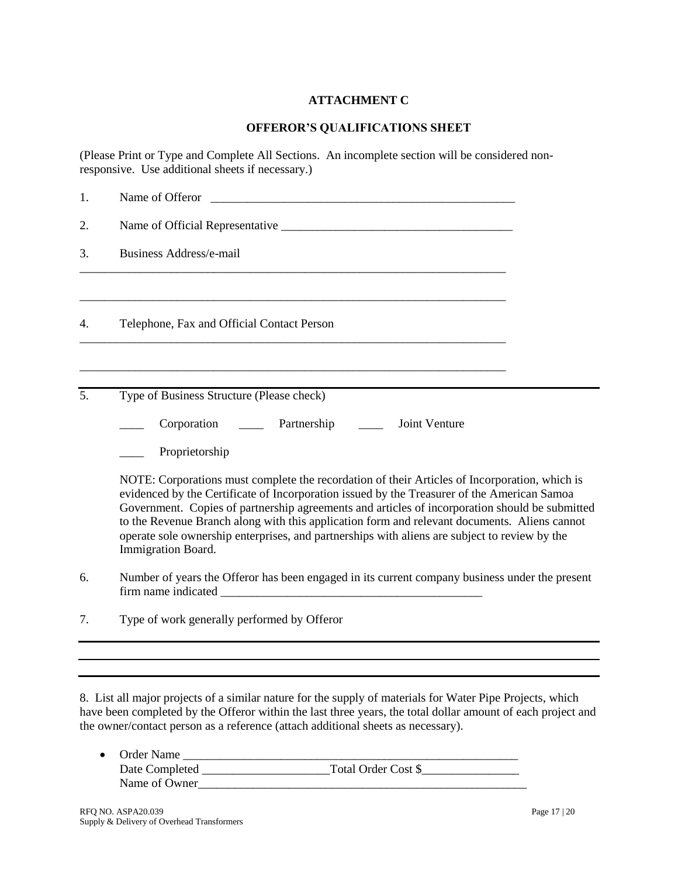# **ATTACHMENT C**

### **OFFEROR'S QUALIFICATIONS SHEET**

(Please Print or Type and Complete All Sections. An incomplete section will be considered nonresponsive. Use additional sheets if necessary.)

| 1. | Name of Offeror                                                                                                                                                                                                                                                                                                                                                                                                                                                                                                       |  |  |  |
|----|-----------------------------------------------------------------------------------------------------------------------------------------------------------------------------------------------------------------------------------------------------------------------------------------------------------------------------------------------------------------------------------------------------------------------------------------------------------------------------------------------------------------------|--|--|--|
| 2. |                                                                                                                                                                                                                                                                                                                                                                                                                                                                                                                       |  |  |  |
| 3. | <b>Business Address/e-mail</b>                                                                                                                                                                                                                                                                                                                                                                                                                                                                                        |  |  |  |
| 4. | Telephone, Fax and Official Contact Person                                                                                                                                                                                                                                                                                                                                                                                                                                                                            |  |  |  |
| 5. | Type of Business Structure (Please check)                                                                                                                                                                                                                                                                                                                                                                                                                                                                             |  |  |  |
|    | Partnership<br>Joint Venture<br>Corporation                                                                                                                                                                                                                                                                                                                                                                                                                                                                           |  |  |  |
|    | Proprietorship                                                                                                                                                                                                                                                                                                                                                                                                                                                                                                        |  |  |  |
|    | NOTE: Corporations must complete the recordation of their Articles of Incorporation, which is<br>evidenced by the Certificate of Incorporation issued by the Treasurer of the American Samoa<br>Government. Copies of partnership agreements and articles of incorporation should be submitted<br>to the Revenue Branch along with this application form and relevant documents. Aliens cannot<br>operate sole ownership enterprises, and partnerships with aliens are subject to review by the<br>Immigration Board. |  |  |  |
| 6. | Number of years the Offeror has been engaged in its current company business under the present                                                                                                                                                                                                                                                                                                                                                                                                                        |  |  |  |
| 7. | Type of work generally performed by Offeror                                                                                                                                                                                                                                                                                                                                                                                                                                                                           |  |  |  |
|    |                                                                                                                                                                                                                                                                                                                                                                                                                                                                                                                       |  |  |  |
|    |                                                                                                                                                                                                                                                                                                                                                                                                                                                                                                                       |  |  |  |

8. List all major projects of a similar nature for the supply of materials for Water Pipe Projects, which have been completed by the Offeror within the last three years, the total dollar amount of each project and the owner/contact person as a reference (attach additional sheets as necessary).

| • Order Name   |                     |
|----------------|---------------------|
| Date Completed | Total Order Cost \$ |
| Name of Owner  |                     |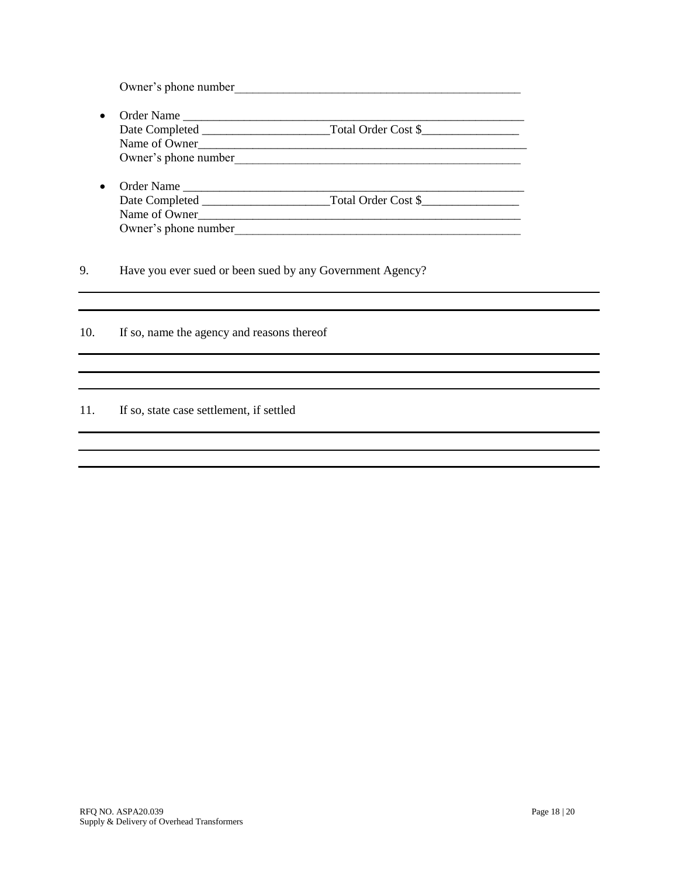Owner's phone number

- Order Name \_\_\_\_\_\_\_\_\_\_\_\_\_\_\_\_\_\_\_\_\_\_\_\_\_\_\_\_\_\_\_\_\_\_\_\_\_\_\_\_\_\_\_\_\_\_\_\_\_\_\_\_\_\_\_\_ Date Completed \_\_\_\_\_\_\_\_\_\_\_\_\_\_\_\_\_\_\_\_\_Total Order Cost \$\_\_\_\_\_\_\_\_\_\_\_\_\_\_\_\_ Name of Owner\_\_\_\_\_\_\_\_\_\_\_\_\_\_\_\_\_\_\_\_\_\_\_\_\_\_\_\_\_\_\_\_\_\_\_\_\_\_\_\_\_\_\_\_\_\_\_\_\_\_\_\_\_\_ Owner's phone number\_\_\_\_\_\_\_\_\_\_\_\_\_\_\_\_\_\_\_\_\_\_\_\_\_\_\_\_\_\_\_\_\_\_\_\_\_\_\_\_\_\_\_\_\_\_\_
- Order Name \_\_\_\_\_\_\_\_\_\_\_\_\_\_\_\_\_\_\_\_\_\_\_\_\_\_\_\_\_\_\_\_\_\_\_\_\_\_\_\_\_\_\_\_\_\_\_\_\_\_\_\_\_\_\_\_ Date Completed \_\_\_\_\_\_\_\_\_\_\_\_\_\_\_\_\_\_\_\_\_Total Order Cost \$\_\_\_\_\_\_\_\_\_\_\_\_\_\_\_\_ Name of Owner\_\_\_\_\_\_\_\_\_\_\_\_\_\_\_\_\_\_\_\_\_\_\_\_\_\_\_\_\_\_\_\_\_\_\_\_\_\_\_\_\_\_\_\_\_\_\_\_\_\_\_\_\_ Owner's phone number

9. Have you ever sued or been sued by any Government Agency?

10. If so, name the agency and reasons thereof

#### 11. If so, state case settlement, if settled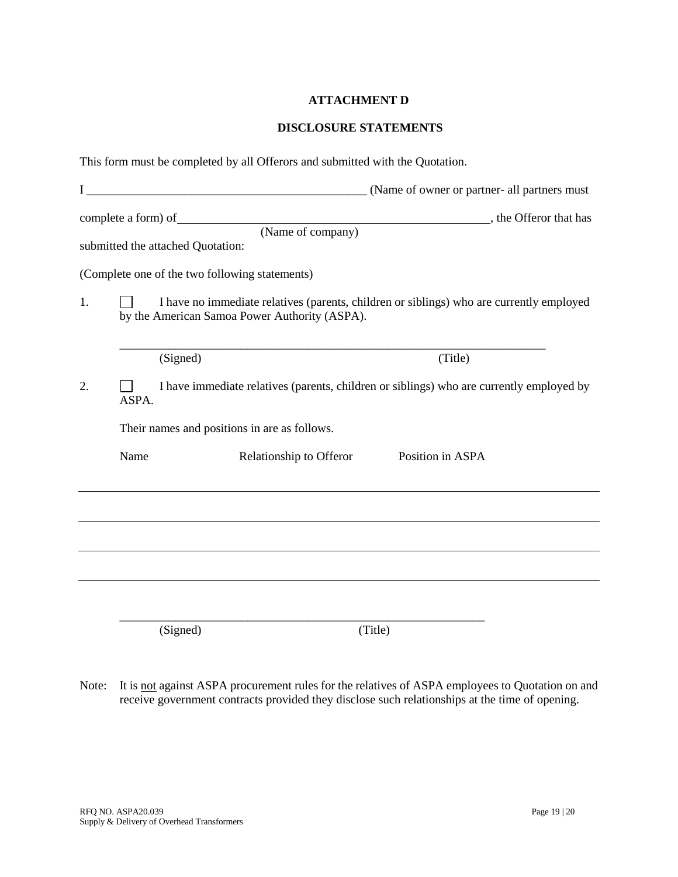## **ATTACHMENT D**

### **DISCLOSURE STATEMENTS**

|    |       | This form must be completed by all Offerors and submitted with the Quotation.                                                             |
|----|-------|-------------------------------------------------------------------------------------------------------------------------------------------|
|    |       |                                                                                                                                           |
|    |       | submitted the attached Quotation:                                                                                                         |
|    |       | (Complete one of the two following statements)                                                                                            |
| 1. |       | I have no immediate relatives (parents, children or siblings) who are currently employed<br>by the American Samoa Power Authority (ASPA). |
|    |       | (Signed)<br>(Title)                                                                                                                       |
| 2. | ASPA. | I have immediate relatives (parents, children or siblings) who are currently employed by                                                  |
|    |       | Their names and positions in are as follows.                                                                                              |
|    | Name  | Relationship to Offeror<br>Position in ASPA                                                                                               |
|    |       |                                                                                                                                           |
|    |       |                                                                                                                                           |
|    |       |                                                                                                                                           |
|    |       |                                                                                                                                           |
|    |       | (Signed)<br>(Title)                                                                                                                       |

Note: It is not against ASPA procurement rules for the relatives of ASPA employees to Quotation on and receive government contracts provided they disclose such relationships at the time of opening.